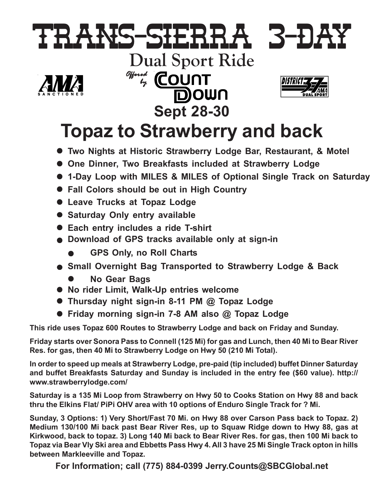## TRANS-SIERRA 3-DAY **Dual Sport Ride** *Offered* **COUNT DJOMU Sept 28-30**

## **Topaz to Strawberry and back**

- **Two Nights at Historic Strawberry Lodge Bar, Restaurant, & Motel**
- **One Dinner, Two Breakfasts included at Strawberry Lodge**
- z **1-Day Loop with MILES & MILES of Optional Single Track on Saturday**
- **Fall Colors should be out in High Country**
- **Leave Trucks at Topaz Lodge**
- **Saturday Only entry available**
- **Each entry includes a ride T-shirt**
- **Download of GPS tracks available only at sign-in** 
	- z **GPS Only, no Roll Charts**
- **Small Overnight Bag Transported to Strawberry Lodge & Back** 
	- **No Gear Bags**
- **No rider Limit, Walk-Up entries welcome**
- **Thursday night sign-in 8-11 PM @ Topaz Lodge**
- Friday morning sign-in 7-8 AM also @ Topaz Lodge

**This ride uses Topaz 600 Routes to Strawberry Lodge and back on Friday and Sunday.**

**Friday starts over Sonora Pass to Connell (125 Mi) for gas and Lunch, then 40 Mi to Bear River Res. for gas, then 40 Mi to Strawberry Lodge on Hwy 50 (210 Mi Total).**

**In order to speed up meals at Strawberry Lodge, pre-paid (tip included) buffet Dinner Saturday and buffet Breakfasts Saturday and Sunday is included in the entry fee (\$60 value). http:// www.strawberrylodge.com/**

**Saturday is a 135 Mi Loop from Strawberry on Hwy 50 to Cooks Station on Hwy 88 and back thru the Elkins Flat/ PiPi OHV area with 10 options of Enduro Single Track for ? Mi.**

**Sunday, 3 Options: 1) Very Short/Fast 70 Mi. on Hwy 88 over Carson Pass back to Topaz. 2) Medium 130/100 Mi back past Bear River Res, up to Squaw Ridge down to Hwy 88, gas at Kirkwood, back to topaz. 3) Long 140 Mi back to Bear River Res. for gas, then 100 Mi back to Topaz via Bear Vly Ski area and Ebbetts Pass Hwy 4. All 3 have 25 Mi Single Track opton in hills between Markleeville and Topaz.**

**For Information; call (775) 884-0399 Jerry.Counts@SBCGlobal.net**